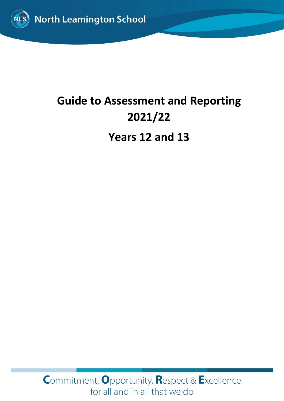

# **Guide to Assessment and Reporting 2021/22**

**Years 12 and 13**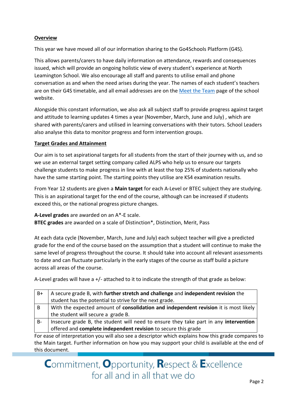### **Overview**

This year we have moved all of our information sharing to the Go4Schools Platform (G4S).

This allows parents/carers to have daily information on attendance, rewards and consequences issued, which will provide an ongoing holistic view of every student's experience at North Leamington School. We also encourage all staff and parents to utilise email and phone conversation as and when the need arises during the year. The names of each student's teachers are on their G4S timetable, and all email addresses are on the [Meet the Team](https://www.northleamington.co.uk/aboutus/meet-the-team) page of the school website.

Alongside this constant information, we also ask all subject staff to provide progress against target and attitude to learning updates 4 times a year (November, March, June and July) , which are shared with parents/carers and utilised in learning conversations with their tutors. School Leaders also analyse this data to monitor progress and form intervention groups.

#### **Target Grades and Attainment**

Our aim is to set aspirational targets for all students from the start of their journey with us, and so we use an external target setting company called ALPS who help us to ensure our targets challenge students to make progress in line with at least the top 25% of students nationally who have the same starting point. The starting points they utilise are KS4 examination results.

From Year 12 students are given a **Main target** for each A-Level or BTEC subject they are studying. This is an aspirational target for the end of the course, although can be increased if students exceed this, or the national progress picture changes.

**A-Level grades** are awarded on an A\*-E scale. **BTEC grades** are awarded on a scale of Distinction\*, Distinction, Merit, Pass

At each data cycle (November, March, June and July) each subject teacher will give a predicted grade for the end of the course based on the assumption that a student will continue to make the same level of progress throughout the course. It should take into account all relevant assessments to date and can fluctuate particularly in the early stages of the course as staff build a picture across all areas of the course.

A-Level grades will have a +/- attached to it to indicate the strength of that grade as below:

| $B+$ | A secure grade B, with further stretch and challenge and independent revision the                                                                                                                                                 |
|------|-----------------------------------------------------------------------------------------------------------------------------------------------------------------------------------------------------------------------------------|
|      | student has the potential to strive for the next grade.                                                                                                                                                                           |
| l B  | With the expected amount of consolidation and independent revision it is most likely                                                                                                                                              |
|      | the student will secure a grade B.                                                                                                                                                                                                |
| - B- | Insecure grade B, the student will need to ensure they take part in any intervention                                                                                                                                              |
|      | offered and complete independent revision to secure this grade                                                                                                                                                                    |
|      | $\mathcal{L}$ , and the set of the set of the set of the set of the set of the set of the set of the set of the set of the set of the set of the set of the set of the set of the set of the set of the set of the set of the set |

For ease of interpretation you will also see a descriptor which explains how this grade compares to the Main target. Further information on how you may support your child is available at the end of this document.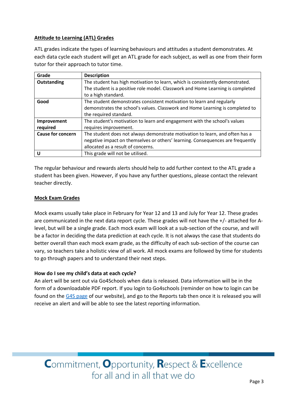### **Attitude to Learning (ATL) Grades**

ATL grades indicate the types of learning behaviours and attitudes a student demonstrates. At each data cycle each student will get an ATL grade for each subject, as well as one from their form tutor for their approach to tutor time.

| Grade                    | <b>Description</b>                                                             |
|--------------------------|--------------------------------------------------------------------------------|
| Outstanding              | The student has high motivation to learn, which is consistently demonstrated.  |
|                          | The student is a positive role model. Classwork and Home Learning is completed |
|                          | to a high standard.                                                            |
| Good                     | The student demonstrates consistent motivation to learn and regularly          |
|                          | demonstrates the school's values. Classwork and Home Learning is completed to  |
|                          | the required standard.                                                         |
| Improvement              | The student's motivation to learn and engagement with the school's values      |
| required                 | requires improvement.                                                          |
| <b>Cause for concern</b> | The student does not always demonstrate motivation to learn, and often has a   |
|                          | negative impact on themselves or others' learning. Consequences are frequently |
|                          | allocated as a result of concerns.                                             |
| U                        | This grade will not be utilised.                                               |

The regular behaviour and rewards alerts should help to add further context to the ATL grade a student has been given. However, if you have any further questions, please contact the relevant teacher directly.

### **Mock Exam Grades**

Mock exams usually take place in February for Year 12 and 13 and July for Year 12. These grades are communicated in the next data report cycle. These grades will not have the +/- attached for Alevel, but will be a single grade. Each mock exam will look at a sub-section of the course, and will be a factor in deciding the data prediction at each cycle. It is not always the case that students do better overall than each mock exam grade, as the difficulty of each sub-section of the course can vary, so teachers take a holistic view of all work. All mock exams are followed by time for students to go through papers and to understand their next steps.

#### **How do I see my child's data at each cycle?**

An alert will be sent out via Go4Schools when data is released. Data information will be in the form of a downloadable PDF report. If you login to Go4schools (reminder on how to login can be found on the [G4S page](https://www.northleamington.co.uk/learn/go-4-schools-g4s) of our website), and go to the Reports tab then once it is released you will receive an alert and will be able to see the latest reporting information.